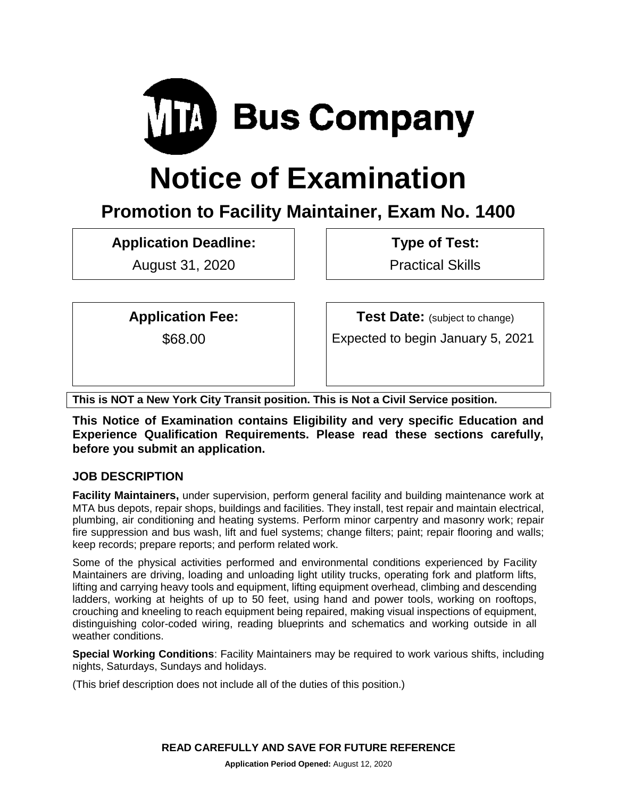

# **Notice of Examination**

# **Promotion to Facility Maintainer, Exam No. 1400**

**Application Deadline:**

August 31, 2020

**Type of Test:** 

Practical Skills

**Application Fee:**

\$68.00

**Test Date:** (subject to change)

Expected to begin January 5, 2021

**This is NOT a New York City Transit position. This is Not a Civil Service position.**

**This Notice of Examination contains Eligibility and very specific Education and Experience Qualification Requirements. Please read these sections carefully, before you submit an application.** 

# **JOB DESCRIPTION**

**Facility Maintainers,** under supervision, perform general facility and building maintenance work at MTA bus depots, repair shops, buildings and facilities. They install, test repair and maintain electrical, plumbing, air conditioning and heating systems. Perform minor carpentry and masonry work; repair fire suppression and bus wash, lift and fuel systems; change filters; paint; repair flooring and walls; keep records; prepare reports; and perform related work.

Some of the physical activities performed and environmental conditions experienced by Facility Maintainers are driving, loading and unloading light utility trucks, operating fork and platform lifts, lifting and carrying heavy tools and equipment, lifting equipment overhead, climbing and descending ladders, working at heights of up to 50 feet, using hand and power tools, working on rooftops, crouching and kneeling to reach equipment being repaired, making visual inspections of equipment, distinguishing color-coded wiring, reading blueprints and schematics and working outside in all weather conditions.

**Special Working Conditions**: Facility Maintainers may be required to work various shifts, including nights, Saturdays, Sundays and holidays.

(This brief description does not include all of the duties of this position.)

**READ CAREFULLY AND SAVE FOR FUTURE REFERENCE**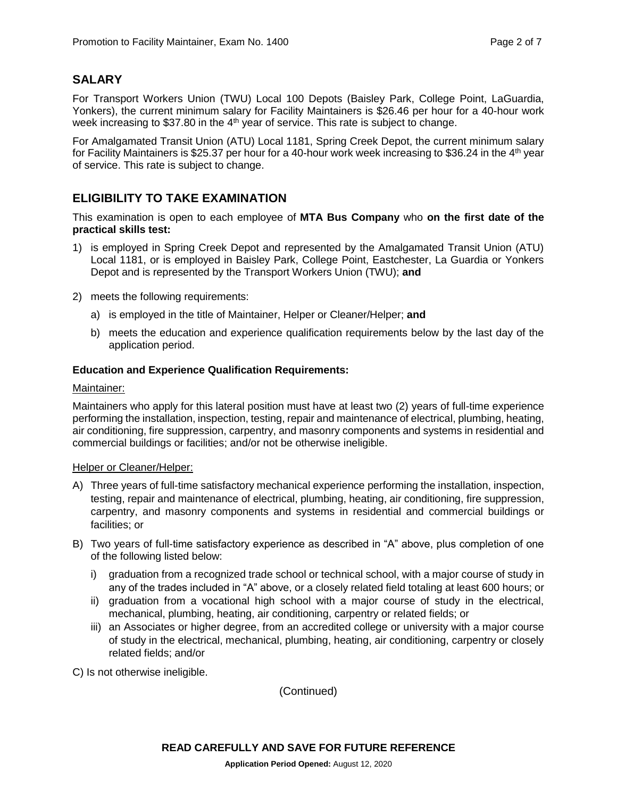# **SALARY**

For Transport Workers Union (TWU) Local 100 Depots (Baisley Park, College Point, LaGuardia, Yonkers), the current minimum salary for Facility Maintainers is \$26.46 per hour for a 40-hour work week increasing to \$37.80 in the  $4<sup>th</sup>$  year of service. This rate is subject to change.

For Amalgamated Transit Union (ATU) Local 1181, Spring Creek Depot, the current minimum salary for Facility Maintainers is \$25.37 per hour for a 40-hour work week increasing to \$36.24 in the 4<sup>th</sup> year of service. This rate is subject to change.

# **ELIGIBILITY TO TAKE EXAMINATION**

This examination is open to each employee of **MTA Bus Company** who **on the first date of the practical skills test:**

- 1) is employed in Spring Creek Depot and represented by the Amalgamated Transit Union (ATU) Local 1181, or is employed in Baisley Park, College Point, Eastchester, La Guardia or Yonkers Depot and is represented by the Transport Workers Union (TWU); **and**
- 2) meets the following requirements:
	- a) is employed in the title of Maintainer, Helper or Cleaner/Helper; **and**
	- b) meets the education and experience qualification requirements below by the last day of the application period.

#### **Education and Experience Qualification Requirements:**

#### Maintainer:

Maintainers who apply for this lateral position must have at least two (2) years of full-time experience performing the installation, inspection, testing, repair and maintenance of electrical, plumbing, heating, air conditioning, fire suppression, carpentry, and masonry components and systems in residential and commercial buildings or facilities; and/or not be otherwise ineligible.

#### Helper or Cleaner/Helper:

- A) Three years of full-time satisfactory mechanical experience performing the installation, inspection, testing, repair and maintenance of electrical, plumbing, heating, air conditioning, fire suppression, carpentry, and masonry components and systems in residential and commercial buildings or facilities; or
- B) Two years of full-time satisfactory experience as described in "A" above, plus completion of one of the following listed below:
	- i) graduation from a recognized trade school or technical school, with a major course of study in any of the trades included in "A" above, or a closely related field totaling at least 600 hours; or
	- ii) graduation from a vocational high school with a major course of study in the electrical, mechanical, plumbing, heating, air conditioning, carpentry or related fields; or
	- iii) an Associates or higher degree, from an accredited college or university with a major course of study in the electrical, mechanical, plumbing, heating, air conditioning, carpentry or closely related fields; and/or

C) Is not otherwise ineligible.

(Continued)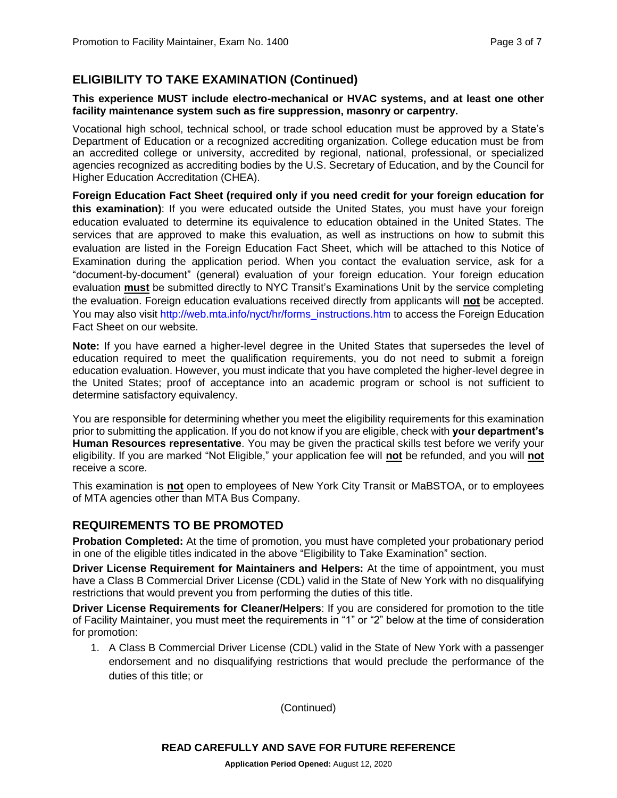# **ELIGIBILITY TO TAKE EXAMINATION (Continued)**

#### **This experience MUST include electro-mechanical or HVAC systems, and at least one other facility maintenance system such as fire suppression, masonry or carpentry.**

Vocational high school, technical school, or trade school education must be approved by a State's Department of Education or a recognized accrediting organization. College education must be from an accredited college or university, accredited by regional, national, professional, or specialized agencies recognized as accrediting bodies by the U.S. Secretary of Education, and by the Council for Higher Education Accreditation (CHEA).

**Foreign Education Fact Sheet (required only if you need credit for your foreign education for this examination)**: If you were educated outside the United States, you must have your foreign education evaluated to determine its equivalence to education obtained in the United States. The services that are approved to make this evaluation, as well as instructions on how to submit this evaluation are listed in the Foreign Education Fact Sheet, which will be attached to this Notice of Examination during the application period. When you contact the evaluation service, ask for a "document-by-document" (general) evaluation of your foreign education. Your foreign education evaluation **must** be submitted directly to NYC Transit's Examinations Unit by the service completing the evaluation. Foreign education evaluations received directly from applicants will **not** be accepted. You may also visit [http://web.mta.info/nyct/hr/forms\\_instructions.htm](http://web.mta.info/nyct/hr/forms_instructions.htm) to access the Foreign Education Fact Sheet on our website.

**Note:** If you have earned a higher-level degree in the United States that supersedes the level of education required to meet the qualification requirements, you do not need to submit a foreign education evaluation. However, you must indicate that you have completed the higher-level degree in the United States; proof of acceptance into an academic program or school is not sufficient to determine satisfactory equivalency.

You are responsible for determining whether you meet the eligibility requirements for this examination prior to submitting the application. If you do not know if you are eligible, check with **your department's Human Resources representative**. You may be given the practical skills test before we verify your eligibility. If you are marked "Not Eligible," your application fee will **not** be refunded, and you will **not** receive a score.

This examination is **not** open to employees of New York City Transit or MaBSTOA, or to employees of MTA agencies other than MTA Bus Company.

# **REQUIREMENTS TO BE PROMOTED**

**Probation Completed:** At the time of promotion, you must have completed your probationary period in one of the eligible titles indicated in the above "Eligibility to Take Examination" section.

**Driver License Requirement for Maintainers and Helpers:** At the time of appointment, you must have a Class B Commercial Driver License (CDL) valid in the State of New York with no disqualifying restrictions that would prevent you from performing the duties of this title.

**Driver License Requirements for Cleaner/Helpers**: If you are considered for promotion to the title of Facility Maintainer, you must meet the requirements in "1" or "2" below at the time of consideration for promotion:

1. A Class B Commercial Driver License (CDL) valid in the State of New York with a passenger endorsement and no disqualifying restrictions that would preclude the performance of the duties of this title; or

(Continued)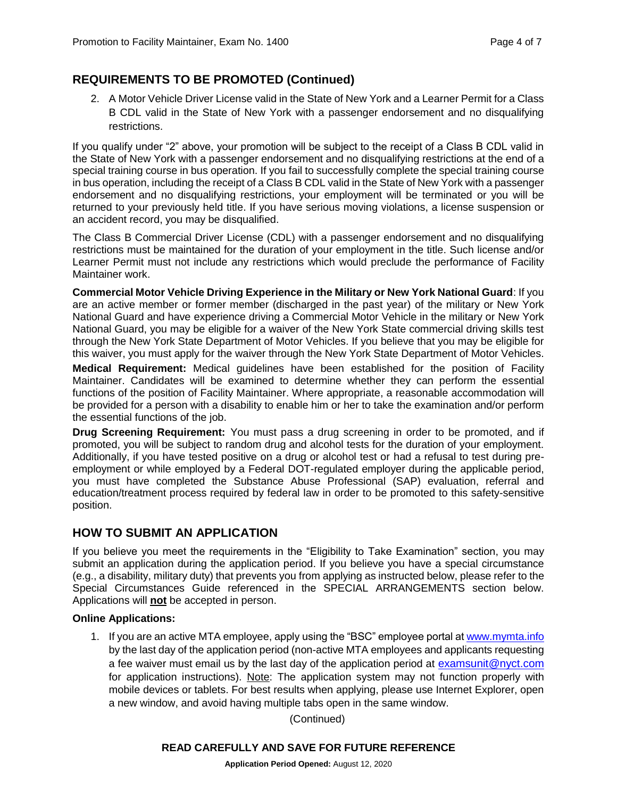# **REQUIREMENTS TO BE PROMOTED (Continued)**

2. A Motor Vehicle Driver License valid in the State of New York and a Learner Permit for a Class B CDL valid in the State of New York with a passenger endorsement and no disqualifying restrictions.

If you qualify under "2" above, your promotion will be subject to the receipt of a Class B CDL valid in the State of New York with a passenger endorsement and no disqualifying restrictions at the end of a special training course in bus operation. If you fail to successfully complete the special training course in bus operation, including the receipt of a Class B CDL valid in the State of New York with a passenger endorsement and no disqualifying restrictions, your employment will be terminated or you will be returned to your previously held title. If you have serious moving violations, a license suspension or an accident record, you may be disqualified.

The Class B Commercial Driver License (CDL) with a passenger endorsement and no disqualifying restrictions must be maintained for the duration of your employment in the title. Such license and/or Learner Permit must not include any restrictions which would preclude the performance of Facility Maintainer work.

**Commercial Motor Vehicle Driving Experience in the Military or New York National Guard**: If you are an active member or former member (discharged in the past year) of the military or New York National Guard and have experience driving a Commercial Motor Vehicle in the military or New York National Guard, you may be eligible for a waiver of the New York State commercial driving skills test through the New York State Department of Motor Vehicles. If you believe that you may be eligible for this waiver, you must apply for the waiver through the New York State Department of Motor Vehicles.

**Medical Requirement:** Medical guidelines have been established for the position of Facility Maintainer. Candidates will be examined to determine whether they can perform the essential functions of the position of Facility Maintainer. Where appropriate, a reasonable accommodation will be provided for a person with a disability to enable him or her to take the examination and/or perform the essential functions of the job.

**Drug Screening Requirement:** You must pass a drug screening in order to be promoted, and if promoted, you will be subject to random drug and alcohol tests for the duration of your employment. Additionally, if you have tested positive on a drug or alcohol test or had a refusal to test during preemployment or while employed by a Federal DOT-regulated employer during the applicable period, you must have completed the Substance Abuse Professional (SAP) evaluation, referral and education/treatment process required by federal law in order to be promoted to this safety-sensitive position.

# **HOW TO SUBMIT AN APPLICATION**

If you believe you meet the requirements in the "Eligibility to Take Examination" section, you may submit an application during the application period. If you believe you have a special circumstance (e.g., a disability, military duty) that prevents you from applying as instructed below, please refer to the Special Circumstances Guide referenced in the SPECIAL ARRANGEMENTS section below. Applications will **not** be accepted in person.

#### **Online Applications:**

1. If you are an active MTA employee, apply using the "BSC" employee portal at [www.mymta.info](http://www.mymta.info/) by the last day of the application period (non-active MTA employees and applicants requesting a fee waiver must email us by the last day of the application period at [examsunit@nyct.com](mailto:examsunit@nyct.com) for application instructions). Note: The application system may not function properly with mobile devices or tablets. For best results when applying, please use Internet Explorer, open a new window, and avoid having multiple tabs open in the same window.

(Continued)

#### **READ CAREFULLY AND SAVE FOR FUTURE REFERENCE**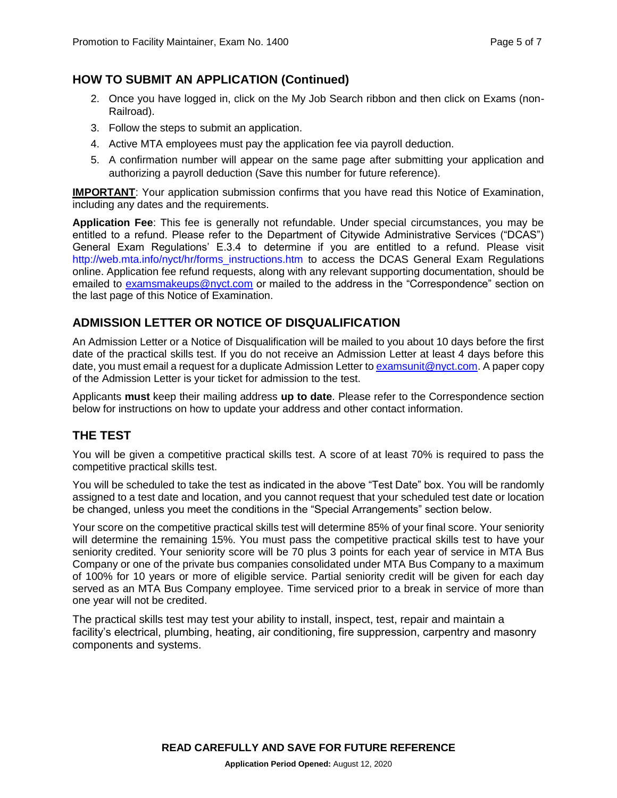# **HOW TO SUBMIT AN APPLICATION (Continued)**

- 2. Once you have logged in, click on the My Job Search ribbon and then click on Exams (non-Railroad).
- 3. Follow the steps to submit an application.
- 4. Active MTA employees must pay the application fee via payroll deduction.
- 5. A confirmation number will appear on the same page after submitting your application and authorizing a payroll deduction (Save this number for future reference).

**IMPORTANT**: Your application submission confirms that you have read this Notice of Examination, including any dates and the requirements.

**Application Fee**: This fee is generally not refundable. Under special circumstances, you may be entitled to a refund. Please refer to the Department of Citywide Administrative Services ("DCAS") General Exam Regulations' E.3.4 to determine if you are entitled to a refund. Please visit [http://web.mta.info/nyct/hr/forms\\_instructions.htm](http://web.mta.info/nyct/hr/forms_instructions.htm) to access the DCAS General Exam Regulations online. Application fee refund requests, along with any relevant supporting documentation, should be emailed to [examsmakeups@nyct.com](mailto:examsmakeups@nyct.com) or mailed to the address in the "Correspondence" section on the last page of this Notice of Examination.

# **ADMISSION LETTER OR NOTICE OF DISQUALIFICATION**

An Admission Letter or a Notice of Disqualification will be mailed to you about 10 days before the first date of the practical skills test. If you do not receive an Admission Letter at least 4 days before this date, you must email a request for a duplicate Admission Letter t[o examsunit@nyct.com.](file://///TRANSIT/NYCT/EVP_SHARE/HRD/USER/SHARED/Exam_Data/Mike%20Nigro/NOEs/2020/August%202020/examsunit@nyct.com) A paper copy of the Admission Letter is your ticket for admission to the test.

Applicants **must** keep their mailing address **up to date**. Please refer to the Correspondence section below for instructions on how to update your address and other contact information.

# **THE TEST**

You will be given a competitive practical skills test. A score of at least 70% is required to pass the competitive practical skills test.

You will be scheduled to take the test as indicated in the above "Test Date" box. You will be randomly assigned to a test date and location, and you cannot request that your scheduled test date or location be changed, unless you meet the conditions in the "Special Arrangements" section below.

Your score on the competitive practical skills test will determine 85% of your final score. Your seniority will determine the remaining 15%. You must pass the competitive practical skills test to have your seniority credited. Your seniority score will be 70 plus 3 points for each year of service in MTA Bus Company or one of the private bus companies consolidated under MTA Bus Company to a maximum of 100% for 10 years or more of eligible service. Partial seniority credit will be given for each day served as an MTA Bus Company employee. Time serviced prior to a break in service of more than one year will not be credited.

The practical skills test may test your ability to install, inspect, test, repair and maintain a facility's electrical, plumbing, heating, air conditioning, fire suppression, carpentry and masonry components and systems.

**READ CAREFULLY AND SAVE FOR FUTURE REFERENCE**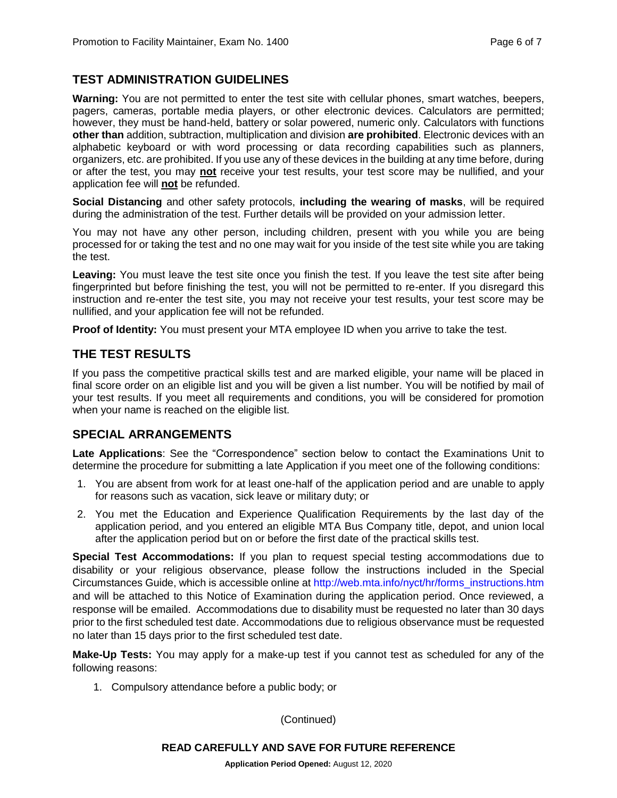# **TEST ADMINISTRATION GUIDELINES**

**Warning:** You are not permitted to enter the test site with cellular phones, smart watches, beepers, pagers, cameras, portable media players, or other electronic devices. Calculators are permitted; however, they must be hand-held, battery or solar powered, numeric only. Calculators with functions **other than** addition, subtraction, multiplication and division **are prohibited**. Electronic devices with an alphabetic keyboard or with word processing or data recording capabilities such as planners, organizers, etc. are prohibited. If you use any of these devices in the building at any time before, during or after the test, you may **not** receive your test results, your test score may be nullified, and your application fee will **not** be refunded.

**Social Distancing** and other safety protocols, **including the wearing of masks**, will be required during the administration of the test. Further details will be provided on your admission letter.

You may not have any other person, including children, present with you while you are being processed for or taking the test and no one may wait for you inside of the test site while you are taking the test.

**Leaving:** You must leave the test site once you finish the test. If you leave the test site after being fingerprinted but before finishing the test, you will not be permitted to re-enter. If you disregard this instruction and re-enter the test site, you may not receive your test results, your test score may be nullified, and your application fee will not be refunded.

**Proof of Identity:** You must present your MTA employee ID when you arrive to take the test.

# **THE TEST RESULTS**

If you pass the competitive practical skills test and are marked eligible, your name will be placed in final score order on an eligible list and you will be given a list number. You will be notified by mail of your test results. If you meet all requirements and conditions, you will be considered for promotion when your name is reached on the eligible list.

# **SPECIAL ARRANGEMENTS**

**Late Applications**: See the "Correspondence" section below to contact the Examinations Unit to determine the procedure for submitting a late Application if you meet one of the following conditions:

- 1. You are absent from work for at least one-half of the application period and are unable to apply for reasons such as vacation, sick leave or military duty; or
- 2. You met the Education and Experience Qualification Requirements by the last day of the application period, and you entered an eligible MTA Bus Company title, depot, and union local after the application period but on or before the first date of the practical skills test.

**Special Test Accommodations:** If you plan to request special testing accommodations due to disability or your religious observance, please follow the instructions included in the Special Circumstances Guide, which is accessible online at [http://web.mta.info/nyct/hr/forms\\_instructions.htm](http://web.mta.info/nyct/hr/forms_instructions.htm)  and will be attached to this Notice of Examination during the application period. Once reviewed, a response will be emailed. Accommodations due to disability must be requested no later than 30 days prior to the first scheduled test date. Accommodations due to religious observance must be requested no later than 15 days prior to the first scheduled test date.

**Make-Up Tests:** You may apply for a make-up test if you cannot test as scheduled for any of the following reasons:

1. Compulsory attendance before a public body; or

(Continued)